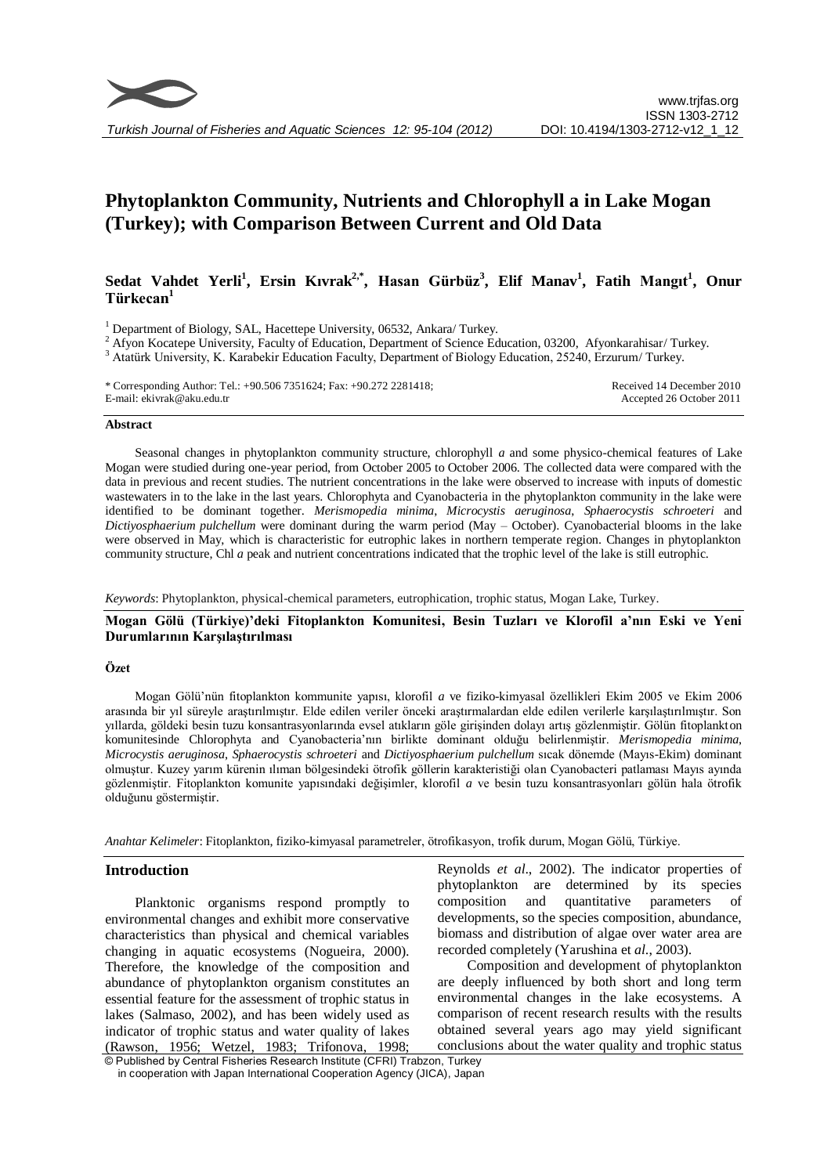

# **Phytoplankton Community, Nutrients and Chlorophyll a in Lake Mogan (Turkey); with Comparison Between Current and Old Data**

# **Sedat Vahdet Yerli<sup>1</sup> , Ersin Kıvrak2,\* , Hasan Gürbüz 3 , Elif Manav 1 , Fatih Mangıt<sup>1</sup> , Onur Türkecan 1**

<sup>1</sup> Department of Biology, SAL, Hacettepe University, 06532, Ankara/ Turkey.

<sup>2</sup> Afyon Kocatepe University, Faculty of Education, Department of Science Education, 03200, Afyonkarahisar/ Turkey.

<sup>3</sup> Atatürk University, K. Karabekir Education Faculty, Department of Biology Education, 25240, Erzurum/ Turkey.

\* Corresponding Author: Tel.: +90.506 7351624; Fax: +90.272 2281418; E-mail: ekivrak@aku.edu.tr Received 14 December 2010 Accepted 26 October 2011

# **Abstract**

Seasonal changes in phytoplankton community structure, chlorophyll *a* and some physico-chemical features of Lake Mogan were studied during one-year period, from October 2005 to October 2006. The collected data were compared with the data in previous and recent studies. The nutrient concentrations in the lake were observed to increase with inputs of domestic wastewaters in to the lake in the last years. Chlorophyta and Cyanobacteria in the phytoplankton community in the lake were identified to be dominant together. *Merismopedia minima*, *Microcystis aeruginosa*, *Sphaerocystis schroeteri* and *Dictiyosphaerium pulchellum* were dominant during the warm period (May – October). Cyanobacterial blooms in the lake were observed in May, which is characteristic for eutrophic lakes in northern temperate region. Changes in phytoplankton community structure, Chl *a* peak and nutrient concentrations indicated that the trophic level of the lake is still eutrophic.

*Keywords*: Phytoplankton, physical-chemical parameters, eutrophication, trophic status, Mogan Lake, Turkey.

# **Mogan Gölü (Türkiye)'deki Fitoplankton Komunitesi, Besin Tuzları ve Klorofil a'nın Eski ve Yeni Durumlarının Karşılaştırılması**

#### **Özet**

Mogan Gölü'nün fitoplankton kommunite yapısı, klorofil *a* ve fiziko-kimyasal özellikleri Ekim 2005 ve Ekim 2006 arasında bir yıl süreyle araştırılmıştır. Elde edilen veriler önceki araştırmalardan elde edilen verilerle karşılaştırılmıştır. Son yıllarda, göldeki besin tuzu konsantrasyonlarında evsel atıkların göle girişinden dolayı artış gözlenmiştir. Gölün fitoplankton komunitesinde Chlorophyta and Cyanobacteria'nın birlikte dominant olduğu belirlenmiştir. *Merismopedia minima*, *Microcystis aeruginosa*, *Sphaerocystis schroeteri* and *Dictiyosphaerium pulchellum* sıcak dönemde (Mayıs-Ekim) dominant olmuştur. Kuzey yarım kürenin ılıman bölgesindeki ötrofik göllerin karakteristiği olan Cyanobacteri patlaması Mayıs ayında gözlenmiştir. Fitoplankton komunite yapısındaki değişimler, klorofil *a* ve besin tuzu konsantrasyonları gölün hala ötrofik olduğunu göstermiştir.

*Anahtar Kelimeler*: Fitoplankton, fiziko-kimyasal parametreler, ötrofikasyon, trofik durum, Mogan Gölü, Türkiye.

# **Introduction**

Planktonic organisms respond promptly to environmental changes and exhibit more conservative characteristics than physical and chemical variables changing in aquatic ecosystems (Nogueira, 2000). Therefore, the knowledge of the composition and abundance of phytoplankton organism constitutes an essential feature for the assessment of trophic status in lakes (Salmaso, 2002), and has been widely used as indicator of trophic status and water quality of lakes (Rawson, 1956; Wetzel, 1983; Trifonova, 1998;

Reynolds *et al*., 2002). The indicator properties of phytoplankton are determined by its species composition and quantitative parameters of developments, so the species composition, abundance, biomass and distribution of algae over water area are recorded completely (Yarushina et *al*., 2003).

Composition and development of phytoplankton are deeply influenced by both short and long term environmental changes in the lake ecosystems. A comparison of recent research results with the results obtained several years ago may yield significant conclusions about the water quality and trophic status

© Published by Central Fisheries Research Institute (CFRI) Trabzon, Turkey in cooperation with Japan International Cooperation Agency (JICA), Japan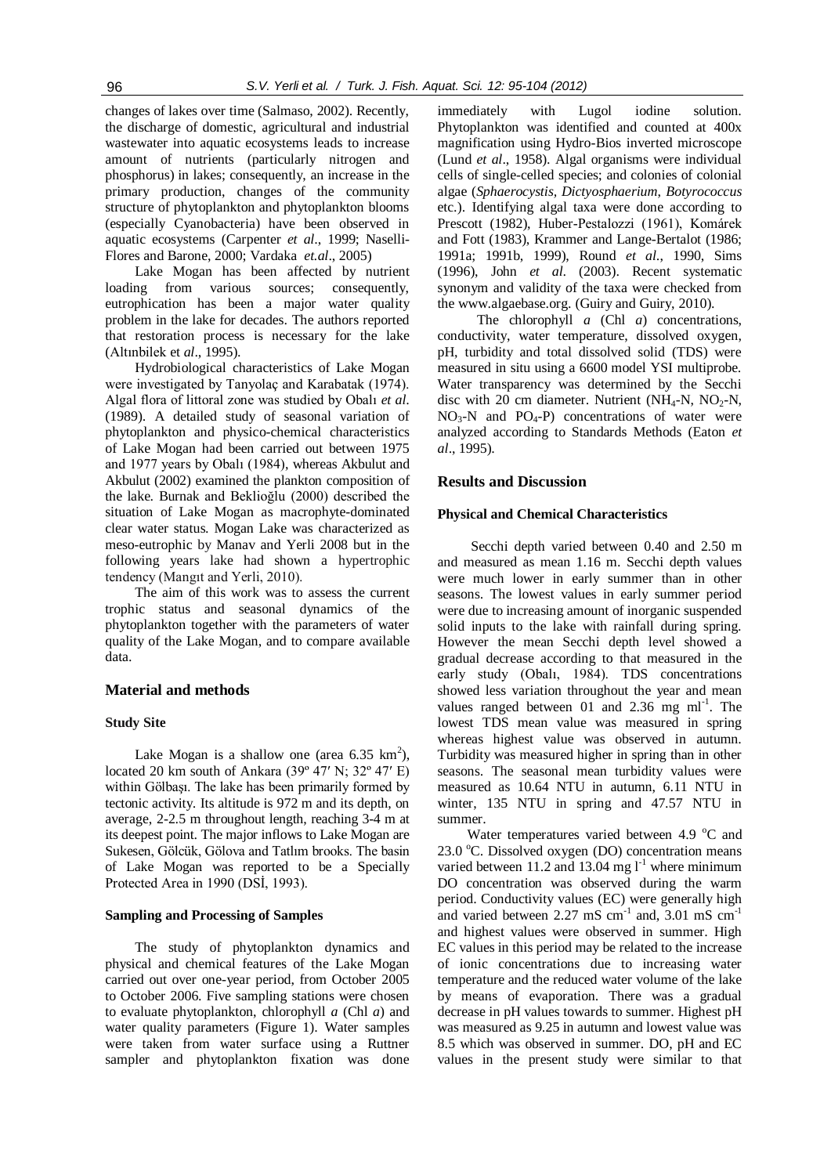changes of lakes over time (Salmaso, 2002). Recently, the discharge of domestic, agricultural and industrial wastewater into aquatic ecosystems leads to increase amount of nutrients (particularly nitrogen and phosphorus) in lakes; consequently, an increase in the primary production, changes of the community structure of phytoplankton and phytoplankton blooms (especially Cyanobacteria) have been observed in aquatic ecosystems (Carpenter *et al*., 1999; Naselli-Flores and Barone, 2000; Vardaka *et.al*., 2005)

Lake Mogan has been affected by nutrient loading from various sources; consequently, eutrophication has been a major water quality problem in the lake for decades. The authors reported that restoration process is necessary for the lake (Altınbilek et *al*., 1995).

Hydrobiological characteristics of Lake Mogan were investigated by Tanyolaç and Karabatak (1974). Algal flora of littoral zone was studied by Obalı *et al*. (1989). A detailed study of seasonal variation of phytoplankton and physico-chemical characteristics of Lake Mogan had been carried out between 1975 and 1977 years by Obalı (1984), whereas Akbulut and Akbulut (2002) examined the plankton composition of the lake. Burnak and Beklioğlu (2000) described the situation of Lake Mogan as macrophyte-dominated clear water status. Mogan Lake was characterized as meso-eutrophic by Manav and Yerli 2008 but in the following years lake had shown a hypertrophic tendency (Mangıt and Yerli, 2010).

The aim of this work was to assess the current trophic status and seasonal dynamics of the phytoplankton together with the parameters of water quality of the Lake Mogan, and to compare available data.

#### **Material and methods**

#### **Study Site**

Lake Mogan is a shallow one (area  $6.35 \text{ km}^2$ ), located 20 km south of Ankara (39º 47′ N; 32º 47′ E) within Gölbaşı. The lake has been primarily formed by tectonic activity. Its altitude is 972 m and its depth, on average, 2-2.5 m throughout length, reaching 3-4 m at its deepest point. The major inflows to Lake Mogan are Sukesen, Gölcük, Gölova and Tatlım brooks. The basin of Lake Mogan was reported to be a Specially Protected Area in 1990 (DSİ, 1993).

#### **Sampling and Processing of Samples**

The study of phytoplankton dynamics and physical and chemical features of the Lake Mogan carried out over one-year period, from October 2005 to October 2006. Five sampling stations were chosen to evaluate phytoplankton, chlorophyll *a* (Chl *a*) and water quality parameters (Figure 1). Water samples were taken from water surface using a Ruttner sampler and phytoplankton fixation was done

immediately with Lugol iodine solution. Phytoplankton was identified and counted at 400x magnification using Hydro-Bios inverted microscope (Lund *et al*., 1958). Algal organisms were individual cells of single-celled species; and colonies of colonial algae (*Sphaerocystis, Dictyosphaerium*, *Botyrococcus* etc.). Identifying algal taxa were done according to Prescott (1982), Huber-Pestalozzi (1961), Komárek and Fott (1983), Krammer and Lange-Bertalot (1986; 1991a; 1991b, 1999), Round *et al*., 1990, Sims (1996), John *et al*. (2003). Recent systematic synonym and validity of the taxa were checked from the www.algaebase.org. (Guiry and Guiry, 2010).

The chlorophyll *a* (Chl *a*) concentrations, conductivity, water temperature, dissolved oxygen, pH, turbidity and total dissolved solid (TDS) were measured in situ using a 6600 model YSI multiprobe. Water transparency was determined by the Secchi disc with 20 cm diameter. Nutrient (NH<sub>4</sub>-N, NO<sub>2</sub>-N,  $NO<sub>3</sub>-N$  and  $PO<sub>4</sub>-P$ ) concentrations of water were analyzed according to Standards Methods (Eaton *et al*., 1995).

# **Results and Discussion**

# **Physical and Chemical Characteristics**

Secchi depth varied between 0.40 and 2.50 m and measured as mean 1.16 m. Secchi depth values were much lower in early summer than in other seasons. The lowest values in early summer period were due to increasing amount of inorganic suspended solid inputs to the lake with rainfall during spring. However the mean Secchi depth level showed a gradual decrease according to that measured in the early study (Obalı, 1984). TDS concentrations showed less variation throughout the year and mean values ranged between  $01$  and  $2.36$  mg ml<sup>-1</sup>. The lowest TDS mean value was measured in spring whereas highest value was observed in autumn. Turbidity was measured higher in spring than in other seasons. The seasonal mean turbidity values were measured as 10.64 NTU in autumn, 6.11 NTU in winter, 135 NTU in spring and 47.57 NTU in summer.

Water temperatures varied between 4.9 °C and  $23.0$  °C. Dissolved oxygen (DO) concentration means varied between 11.2 and 13.04 mg  $l^{-1}$  where minimum DO concentration was observed during the warm period. Conductivity values (EC) were generally high and varied between  $2.27 \text{ mS cm}^{-1}$  and,  $3.01 \text{ mS cm}^{-1}$ and highest values were observed in summer. High EC values in this period may be related to the increase of ionic concentrations due to increasing water temperature and the reduced water volume of the lake by means of evaporation. There was a gradual decrease in pH values towards to summer. Highest pH was measured as 9.25 in autumn and lowest value was 8.5 which was observed in summer. DO, pH and EC values in the present study were similar to that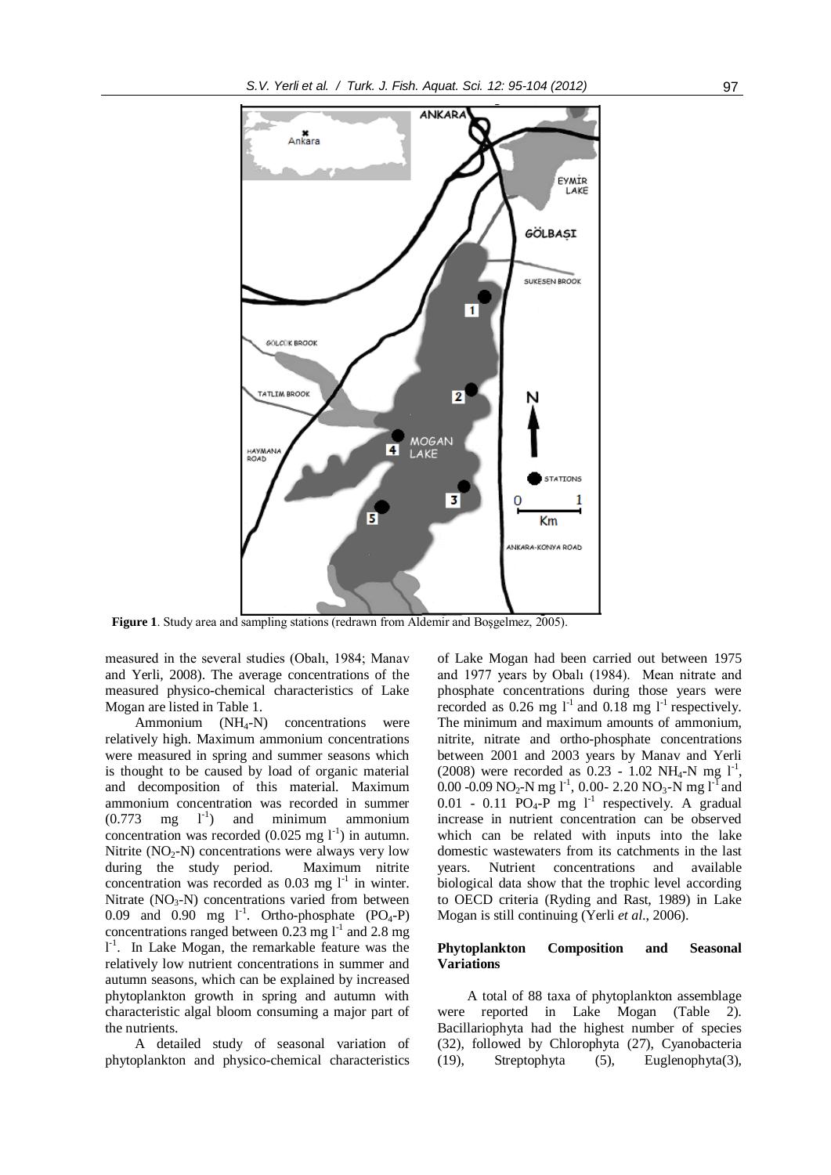

**Figure 1**. Study area and sampling stations (redrawn from Aldemir and Boşgelmez, 2005).

measured in the several studies (Obalı, 1984; Manav and Yerli, 2008). The average concentrations of the measured physico-chemical characteristics of Lake Mogan are listed in Table 1.

Ammonium  $(NH_4-N)$  concentrations were relatively high. Maximum ammonium concentrations were measured in spring and summer seasons which is thought to be caused by load of organic material and decomposition of this material. Maximum ammonium concentration was recorded in summer  $(0.773 \text{ mg } 1^{-1})$ ) and minimum ammonium concentration was recorded  $(0.025 \text{ mg } l^{-1})$  in autumn. Nitrite  $(NO<sub>2</sub>-N)$  concentrations were always very low during the study period. Maximum nitrite concentration was recorded as  $0.03$  mg  $1^{-1}$  in winter. Nitrate  $(NO<sub>3</sub>-N)$  concentrations varied from between 0.09 and 0.90 mg  $1^{-1}$ . Ortho-phosphate (PO<sub>4</sub>-P) concentrations ranged between  $0.23 \text{ mg l}^{-1}$  and  $2.8 \text{ mg}$ l<sup>-1</sup>. In Lake Mogan, the remarkable feature was the relatively low nutrient concentrations in summer and autumn seasons, which can be explained by increased phytoplankton growth in spring and autumn with characteristic algal bloom consuming a major part of the nutrients.

A detailed study of seasonal variation of phytoplankton and physico-chemical characteristics of Lake Mogan had been carried out between 1975 and 1977 years by Obalı (1984). Mean nitrate and phosphate concentrations during those years were recorded as 0.26 mg  $1^{-1}$  and 0.18 mg  $1^{-1}$  respectively. The minimum and maximum amounts of ammonium, nitrite, nitrate and ortho-phosphate concentrations between 2001 and 2003 years by Manav and Yerli (2008) were recorded as  $0.23 - 1.02 \text{ NH}_4\text{-N}$  mg  $1^{-1}$ , 0.00 -0.09 NO<sub>2</sub>-N mg 1<sup>-1</sup>, 0.00- 2.20 NO<sub>3</sub>-N mg 1<sup>-1</sup> and  $0.01$  -  $0.11$  PO<sub>4</sub>-P mg 1<sup>-1</sup> respectively. A gradual increase in nutrient concentration can be observed which can be related with inputs into the lake domestic wastewaters from its catchments in the last years. Nutrient concentrations and available biological data show that the trophic level according to OECD criteria (Ryding and Rast, 1989) in Lake Mogan is still continuing (Yerli *et al*., 2006).

#### **Phytoplankton Composition and Seasonal Variations**

A total of 88 taxa of phytoplankton assemblage were reported in Lake Mogan (Table 2). Bacillariophyta had the highest number of species (32), followed by Chlorophyta (27), Cyanobacteria (19), Streptophyta (5), Euglenophyta(3),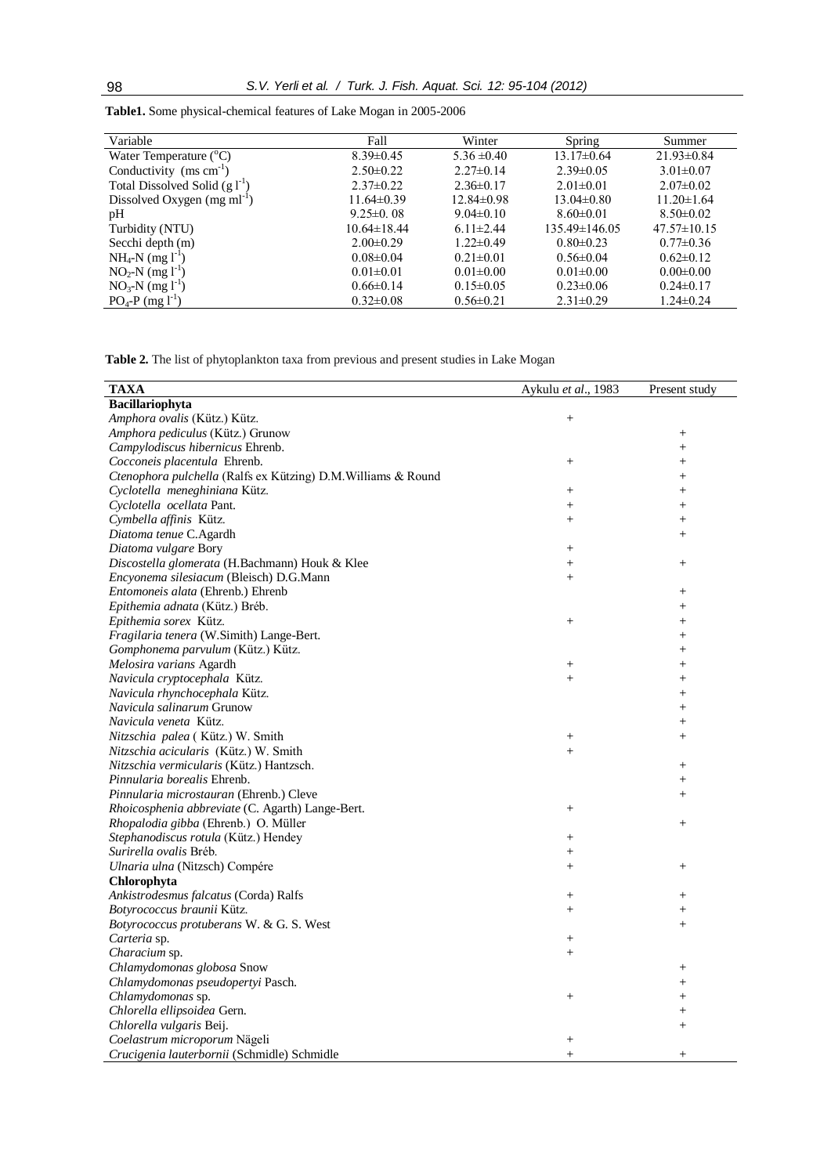| Variable                                | Fall              | Winter           | Spring            | Summer            |  |
|-----------------------------------------|-------------------|------------------|-------------------|-------------------|--|
| Water Temperature $(^{\circ}C)$         | $8.39\pm0.45$     | $5.36 \pm 0.40$  | $13.17\pm0.64$    | $21.93 \pm 0.84$  |  |
| Conductivity $(ms cm-1)$                | $2.50 \pm 0.22$   | $2.27\pm0.14$    | $2.39\pm0.05$     | $3.01 \pm 0.07$   |  |
| Total Dissolved Solid $(g1-1)$          | $2.37\pm0.22$     | $2.36\pm0.17$    | $2.01 \pm 0.01$   | $2.07 \pm 0.02$   |  |
| Dissolved Oxygen (mg ml <sup>-1</sup> ) | $11.64 \pm 0.39$  | $12.84 \pm 0.98$ | $13.04 \pm 0.80$  | $11.20 \pm 1.64$  |  |
| pH                                      | $9.25 \pm 0.08$   | $9.04 \pm 0.10$  | $8.60 \pm 0.01$   | $8.50 \pm 0.02$   |  |
| Turbidity (NTU)                         | $10.64 \pm 18.44$ | $6.11 \pm 2.44$  | $135.49\pm146.05$ | $47.57 \pm 10.15$ |  |
| Secchi depth (m)                        | $2.00 \pm 0.29$   | $1.22 \pm 0.49$  | $0.80 \pm 0.23$   | $0.77 \pm 0.36$   |  |
| $NH_4-N$ (mg $1^{-1}$ )                 | $0.08 \pm 0.04$   | $0.21 \pm 0.01$  | $0.56 \pm 0.04$   | $0.62 \pm 0.12$   |  |
| $NO_2-N$ (mg $l^{-1}$ )                 | $0.01 \pm 0.01$   | $0.01 \pm 0.00$  | $0.01 \pm 0.00$   | $0.00 \pm 0.00$   |  |
| $NO_3-N$ (mg $l^{-1}$ )                 | $0.66 \pm 0.14$   | $0.15 \pm 0.05$  | $0.23 \pm 0.06$   | $0.24 \pm 0.17$   |  |
| $PO_4$ -P (mg l <sup>-1</sup> )         | $0.32 \pm 0.08$   | $0.56 \pm 0.21$  | $2.31 \pm 0.29$   | $1.24 \pm 0.24$   |  |

**Table1.** Some physical-chemical features of Lake Mogan in 2005-2006

**Table 2.** The list of phytoplankton taxa from previous and present studies in Lake Mogan

| <b>TAXA</b>                                                   | Aykulu et al., 1983 | Present study   |
|---------------------------------------------------------------|---------------------|-----------------|
| Bacillariophyta                                               |                     |                 |
| Amphora ovalis (Kütz.) Kütz.                                  | $+$                 |                 |
| Amphora pediculus (Kütz.) Grunow                              |                     | $^{+}$          |
| Campylodiscus hibernicus Ehrenb.                              |                     | $^{+}$          |
| Cocconeis placentula Ehrenb.                                  | $^{+}$              | $^{+}$          |
| Ctenophora pulchella (Ralfs ex Kützing) D.M. Williams & Round |                     | $^{+}$          |
| Cyclotella meneghiniana Kütz.                                 | $^+$                | $^{+}$          |
| Cyclotella ocellata Pant.                                     | $+$                 | $^{+}$          |
| Cymbella affinis Kütz.                                        | $+$                 | $^{+}$          |
| Diatoma tenue C.Agardh                                        |                     | $+$             |
| Diatoma vulgare Bory                                          | $^{+}$              |                 |
| Discostella glomerata (H.Bachmann) Houk & Klee                | $+$                 | $\! + \!\!\!\!$ |
| Encyonema silesiacum (Bleisch) D.G.Mann                       | $+$                 |                 |
| Entomoneis alata (Ehrenb.) Ehrenb                             |                     |                 |
| Epithemia adnata (Kütz.) Bréb.                                |                     | $^{+}$          |
| Epithemia sorex Kütz.                                         | $^{+}$              | $^{+}$          |
| Fragilaria tenera (W.Simith) Lange-Bert.                      |                     | $+$             |
| Gomphonema parvulum (Kütz.) Kütz.                             |                     | $+$             |
| Melosira varians Agardh                                       | $\! + \!\!\!\!$     | $^{+}$          |
| Navicula cryptocephala Kütz.                                  | $^{+}$              | $^{+}$          |
| Navicula rhynchocephala Kütz.                                 |                     | $^{+}$          |
| Navicula salinarum Grunow                                     |                     | $^{+}$          |
| Navicula veneta Kütz.                                         |                     | $^{+}$          |
| Nitzschia palea (Kütz.) W. Smith                              | $\! + \!\!\!\!$     | $^{+}$          |
| Nitzschia acicularis (Kütz.) W. Smith                         | $+$                 |                 |
| Nitzschia vermicularis (Kütz.) Hantzsch.                      |                     |                 |
| Pinnularia borealis Ehrenb.                                   |                     | $^{+}$          |
| Pinnularia microstauran (Ehrenb.) Cleve                       |                     | $^{+}$          |
| Rhoicosphenia abbreviate (C. Agarth) Lange-Bert.              | $^{+}$              |                 |
| Rhopalodia gibba (Ehrenb.) O. Müller                          |                     |                 |
| Stephanodiscus rotula (Kütz.) Hendey                          | $^{+}$              |                 |
| Surirella ovalis Bréb.                                        | $^{+}$              |                 |
| Ulnaria ulna (Nitzsch) Compére                                | $+$                 | $\! + \!\!\!\!$ |
| Chlorophyta                                                   |                     |                 |
| Ankistrodesmus falcatus (Corda) Ralfs                         | $^{+}$              | $\! + \!\!\!\!$ |
| Botyrococcus braunii Kütz.                                    | $+$                 | $^{+}$          |
| Botyrococcus protuberans W. & G. S. West                      |                     | $^{+}$          |
| Carteria sp.                                                  | $^{+}$              |                 |
| Characium sp.                                                 | $+$                 |                 |
| Chlamydomonas globosa Snow                                    |                     | $^{+}$          |
| Chlamydomonas pseudopertyi Pasch.                             |                     | $^{+}$          |
| Chlamydomonas sp.                                             | $^{+}$              | $^{+}$          |
| Chlorella ellipsoidea Gern.                                   |                     | $^{+}$          |
| Chlorella vulgaris Beij.                                      |                     | $^{+}$          |
| Coelastrum microporum Nägeli                                  | $\! + \!\!\!\!$     |                 |
| Crucigenia lauterbornii (Schmidle) Schmidle                   | $+$                 | $^{+}$          |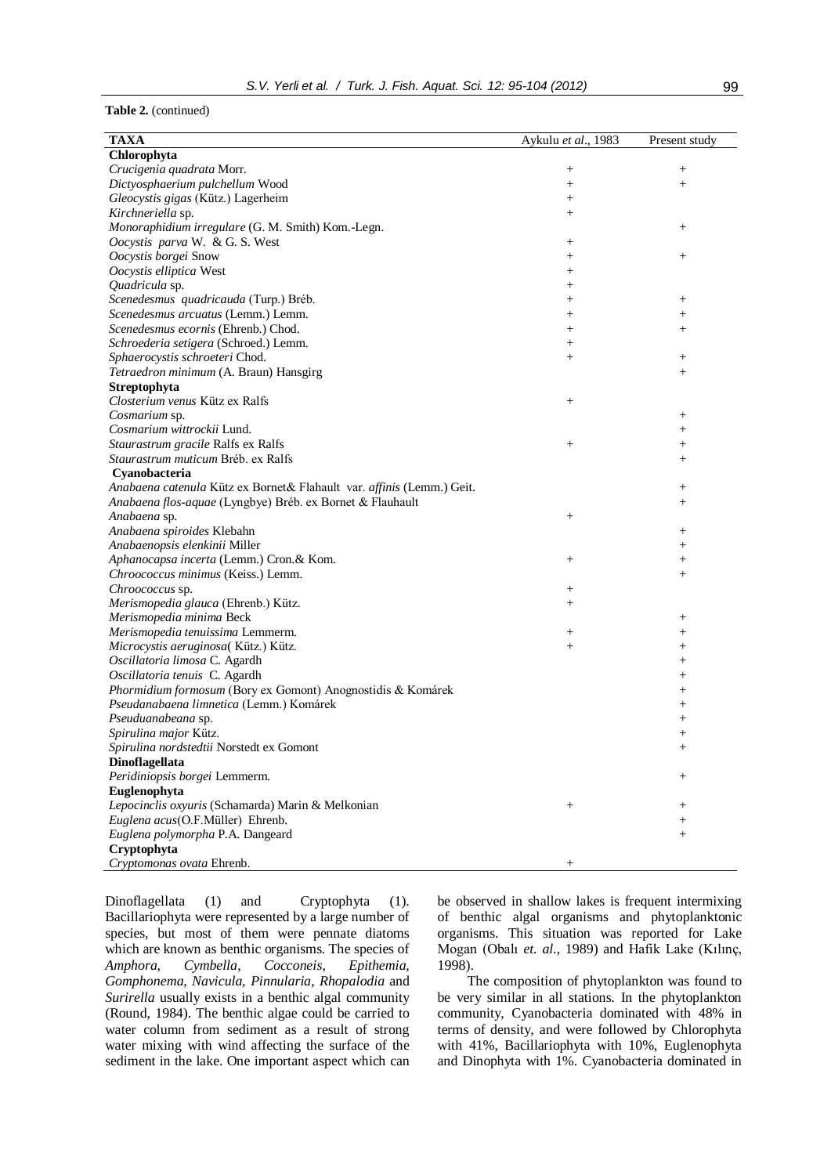# **Table 2.** (continued)

| <b>TAXA</b>                                                           | Aykulu et al., 1983 | Present study   |
|-----------------------------------------------------------------------|---------------------|-----------------|
| Chlorophyta                                                           |                     |                 |
| Crucigenia quadrata Morr.                                             |                     | $^{+}$          |
| Dictyosphaerium pulchellum Wood                                       | $^{+}$              | $^{+}$          |
| Gleocystis gigas (Kütz.) Lagerheim                                    | $^{+}$              |                 |
| Kirchneriella sp.                                                     | $^{+}$              |                 |
| Monoraphidium irregulare (G. M. Smith) Kom.-Legn.                     |                     | $^{+}$          |
| Oocystis parva W. & G. S. West                                        | $^{+}$              |                 |
| Oocystis borgei Snow                                                  | $^{+}$              | $^{+}$          |
| Oocystis elliptica West                                               | $^{+}$              |                 |
| Quadricula sp.                                                        | $^{+}$              |                 |
| Scenedesmus quadricauda (Turp.) Bréb.                                 | $^{+}$              | $^{+}$          |
| Scenedesmus arcuatus (Lemm.) Lemm.                                    | $^{+}$              | $^{+}$          |
| Scenedesmus ecornis (Ehrenb.) Chod.                                   | $^{+}$              | $^{+}$          |
| Schroederia setigera (Schroed.) Lemm.                                 | $^{+}$              |                 |
| Sphaerocystis schroeteri Chod.                                        | $^{+}$              | $^{+}$          |
| Tetraedron minimum (A. Braun) Hansgirg                                |                     | $^{+}$          |
| Streptophyta                                                          |                     |                 |
| Closterium venus Kütz ex Ralfs                                        | $^{+}$              |                 |
| Cosmarium sp.                                                         |                     | $^{+}$          |
| Cosmarium wittrockii Lund.                                            |                     | $\! + \!\!\!\!$ |
| Staurastrum gracile Ralfs ex Ralfs                                    | $^{+}$              | $\! + \!\!\!\!$ |
| Staurastrum muticum Bréb. ex Ralfs                                    |                     | $^{+}$          |
| Cyanobacteria                                                         |                     |                 |
| Anabaena catenula Kütz ex Bornet& Flahault var. affinis (Lemm.) Geit. |                     | $^{+}$          |
| Anabaena flos-aquae (Lyngbye) Bréb. ex Bornet & Flauhault             |                     | $^{+}$          |
| Anabaena sp.                                                          | $\! + \!\!\!\!$     |                 |
| Anabaena spiroides Klebahn                                            |                     | $^{+}$          |
| Anabaenopsis elenkinii Miller                                         |                     | $^{+}$          |
| Aphanocapsa incerta (Lemm.) Cron.& Kom.                               | $^{+}$              | $^{+}$          |
| Chroococcus minimus (Keiss.) Lemm.                                    |                     | $^{+}$          |
| Chroococcus sp.                                                       | $^{+}$              |                 |
| Merismopedia glauca (Ehrenb.) Kütz.                                   | $^{+}$              |                 |
| Merismopedia minima Beck                                              |                     | $^{+}$          |
| Merismopedia tenuissima Lemmerm.                                      | $^{+}$              | $^{+}$          |
| Microcystis aeruginosa(Kütz.) Kütz.                                   | $^{+}$              | $^{+}$          |
| Oscillatoria limosa C. Agardh                                         |                     | $^{+}$          |
| Oscillatoria tenuis C. Agardh                                         |                     | $^{+}$          |
| Phormidium formosum (Bory ex Gomont) Anognostidis & Komárek           |                     | $^{+}$          |
| Pseudanabaena limnetica (Lemm.) Komárek                               |                     | $^{+}$          |
| Pseuduanabeana sp.                                                    |                     | $^{+}$          |
| Spirulina major Kütz.                                                 |                     | $^+$            |
| Spirulina nordstedtii Norstedt ex Gomont                              |                     | $^{+}$          |
| Dinoflagellata                                                        |                     |                 |
| Peridiniopsis borgei Lemmerm.                                         |                     | $^+$            |
| Euglenophyta                                                          |                     |                 |
| Lepocinclis oxyuris (Schamarda) Marin & Melkonian                     | $^{+}$              | $^+$            |
| Euglena acus(O.F.Müller) Ehrenb.                                      |                     | $^{+}$          |
| Euglena polymorpha P.A. Dangeard                                      |                     | $+$             |
| Cryptophyta                                                           |                     |                 |
| Cryptomonas ovata Ehrenb.                                             | $^+$                |                 |
|                                                                       |                     |                 |

Dinoflagellata (1) and Cryptophyta (1). Bacillariophyta were represented by a large number of species, but most of them were pennate diatoms which are known as benthic organisms. The species of *Amphora*, *Cymbella*, *Cocconeis*, *Epithemia*, *Gomphonema*, *Navicula, Pinnularia*, *Rhopalodia* and *Surirella* usually exists in a benthic algal community (Round, 1984). The benthic algae could be carried to water column from sediment as a result of strong water mixing with wind affecting the surface of the sediment in the lake. One important aspect which can

be observed in shallow lakes is frequent intermixing of benthic algal organisms and phytoplanktonic organisms. This situation was reported for Lake Mogan (Obalı *et. al*., 1989) and Hafik Lake (Kılınç, 1998).

The composition of phytoplankton was found to be very similar in all stations. In the phytoplankton community, Cyanobacteria dominated with 48% in terms of density, and were followed by Chlorophyta with 41%, Bacillariophyta with 10%, Euglenophyta and Dinophyta with 1%. Cyanobacteria dominated in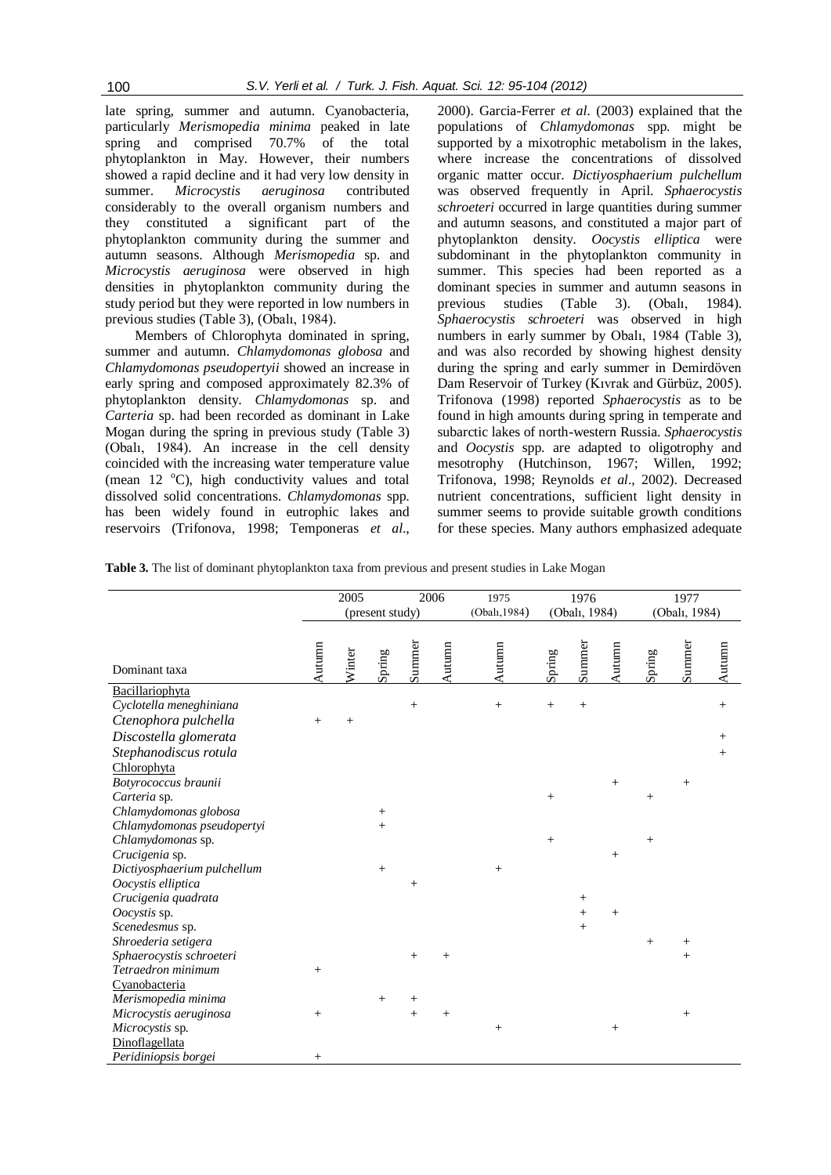late spring, summer and autumn. Cyanobacteria, particularly *Merismopedia minima* peaked in late spring and comprised 70.7% of the total phytoplankton in May. However, their numbers showed a rapid decline and it had very low density in summer. *Microcystis aeruginosa* contributed considerably to the overall organism numbers and they constituted a significant part of the phytoplankton community during the summer and autumn seasons. Although *Merismopedia* sp. and *Microcystis aeruginosa* were observed in high densities in phytoplankton community during the study period but they were reported in low numbers in previous studies (Table 3), (Obalı, 1984).

Members of Chlorophyta dominated in spring, summer and autumn. *Chlamydomonas globosa* and *Chlamydomonas pseudopertyii* showed an increase in early spring and composed approximately 82.3% of phytoplankton density. *Chlamydomonas* sp. and *Carteria* sp. had been recorded as dominant in Lake Mogan during the spring in previous study (Table 3) (Obalı, 1984). An increase in the cell density coincided with the increasing water temperature value (mean  $12 \text{ }^{\circ}$ C), high conductivity values and total dissolved solid concentrations. *Chlamydomonas* spp. has been widely found in eutrophic lakes and reservoirs (Trifonova, 1998; Temponeras *et al*.,

2000). Garcia-Ferrer *et al*. (2003) explained that the populations of *Chlamydomonas* spp. might be supported by a mixotrophic metabolism in the lakes, where increase the concentrations of dissolved organic matter occur. *Dictiyosphaerium pulchellum*  was observed frequently in April. *Sphaerocystis schroeteri* occurred in large quantities during summer and autumn seasons, and constituted a major part of phytoplankton density. *Oocystis elliptica* were subdominant in the phytoplankton community in summer. This species had been reported as a dominant species in summer and autumn seasons in previous studies (Table 3). (Obalı, 1984). *Sphaerocystis schroeteri* was observed in high numbers in early summer by Obalı, 1984 (Table 3), and was also recorded by showing highest density during the spring and early summer in Demirdöven Dam Reservoir of Turkey (Kıvrak and Gürbüz, 2005). Trifonova (1998) reported *Sphaerocystis* as to be found in high amounts during spring in temperate and subarctic lakes of north-western Russia. *Sphaerocystis*  and *Oocystis* spp. are adapted to oligotrophy and mesotrophy (Hutchinson, 1967; Willen, 1992; Trifonova, 1998; Reynolds *et al*., 2002). Decreased nutrient concentrations, sufficient light density in summer seems to provide suitable growth conditions for these species. Many authors emphasized adequate

**Table 3.** The list of dominant phytoplankton taxa from previous and present studies in Lake Mogan

|                                       |        | 2005<br>2006    |        | 1975   | 1976          |               |        | 1977   |                   |        |        |        |
|---------------------------------------|--------|-----------------|--------|--------|---------------|---------------|--------|--------|-------------------|--------|--------|--------|
|                                       |        | (present study) |        |        | (Obalı, 1984) | (Obalı, 1984) |        |        | (Obalı, 1984)     |        |        |        |
| Dominant taxa                         | Autumn | Winter          | Spring | Summer | Autumn        | Autumn        | Spring | Summer | Autumn            | Spring | Summer | Autumn |
| Bacillariophyta                       |        |                 |        |        |               |               |        |        |                   |        |        |        |
| Cyclotella meneghiniana               |        |                 |        | $^{+}$ |               | $^{+}$        | $+$    | $^{+}$ |                   |        |        | $^{+}$ |
| Ctenophora pulchella                  | $^{+}$ | $^+$            |        |        |               |               |        |        |                   |        |        |        |
|                                       |        |                 |        |        |               |               |        |        |                   |        |        |        |
| Discostella glomerata                 |        |                 |        |        |               |               |        |        |                   |        |        | $^{+}$ |
| Stephanodiscus rotula                 |        |                 |        |        |               |               |        |        |                   |        |        | $^{+}$ |
| Chlorophyta                           |        |                 |        |        |               |               |        |        |                   |        |        |        |
| Botyrococcus braunii                  |        |                 |        |        |               |               |        |        | $\qquad \qquad +$ |        | $^{+}$ |        |
| Carteria sp.<br>Chlamydomonas globosa |        |                 | $^{+}$ |        |               |               | $+$    |        |                   | $^{+}$ |        |        |
| Chlamydomonas pseudopertyi            |        |                 | $^{+}$ |        |               |               |        |        |                   |        |        |        |
| Chlamydomonas sp.                     |        |                 |        |        |               |               | $^{+}$ |        |                   | $^{+}$ |        |        |
| Crucigenia sp.                        |        |                 |        |        |               |               |        |        | $^{+}$            |        |        |        |
| Dictiyosphaerium pulchellum           |        |                 | $^{+}$ |        |               | $^{+}$        |        |        |                   |        |        |        |
| Oocystis elliptica                    |        |                 |        | $^{+}$ |               |               |        |        |                   |        |        |        |
| Crucigenia quadrata                   |        |                 |        |        |               |               |        | $^{+}$ |                   |        |        |        |
| Oocystis sp.                          |        |                 |        |        |               |               |        | $^{+}$ | $^{+}$            |        |        |        |
| Scenedesmus sp.                       |        |                 |        |        |               |               |        | $^{+}$ |                   |        |        |        |
| Shroederia setigera                   |        |                 |        |        |               |               |        |        |                   | $^{+}$ | $^{+}$ |        |
| Sphaerocystis schroeteri              |        |                 |        | $^{+}$ |               |               |        |        |                   |        | $^{+}$ |        |
| Tetraedron minimum                    | $^{+}$ |                 |        |        |               |               |        |        |                   |        |        |        |
| Cyanobacteria                         |        |                 |        |        |               |               |        |        |                   |        |        |        |
| Merismopedia minima                   |        |                 | $^{+}$ | $^+$   |               |               |        |        |                   |        |        |        |
| Microcystis aeruginosa                | $^{+}$ |                 |        | $^{+}$ |               |               |        |        |                   |        | $^{+}$ |        |
| Microcystis sp.                       |        |                 |        |        |               | $^{+}$        |        |        | $^{+}$            |        |        |        |
| Dinoflagellata                        |        |                 |        |        |               |               |        |        |                   |        |        |        |
| Peridiniopsis borgei                  | $^{+}$ |                 |        |        |               |               |        |        |                   |        |        |        |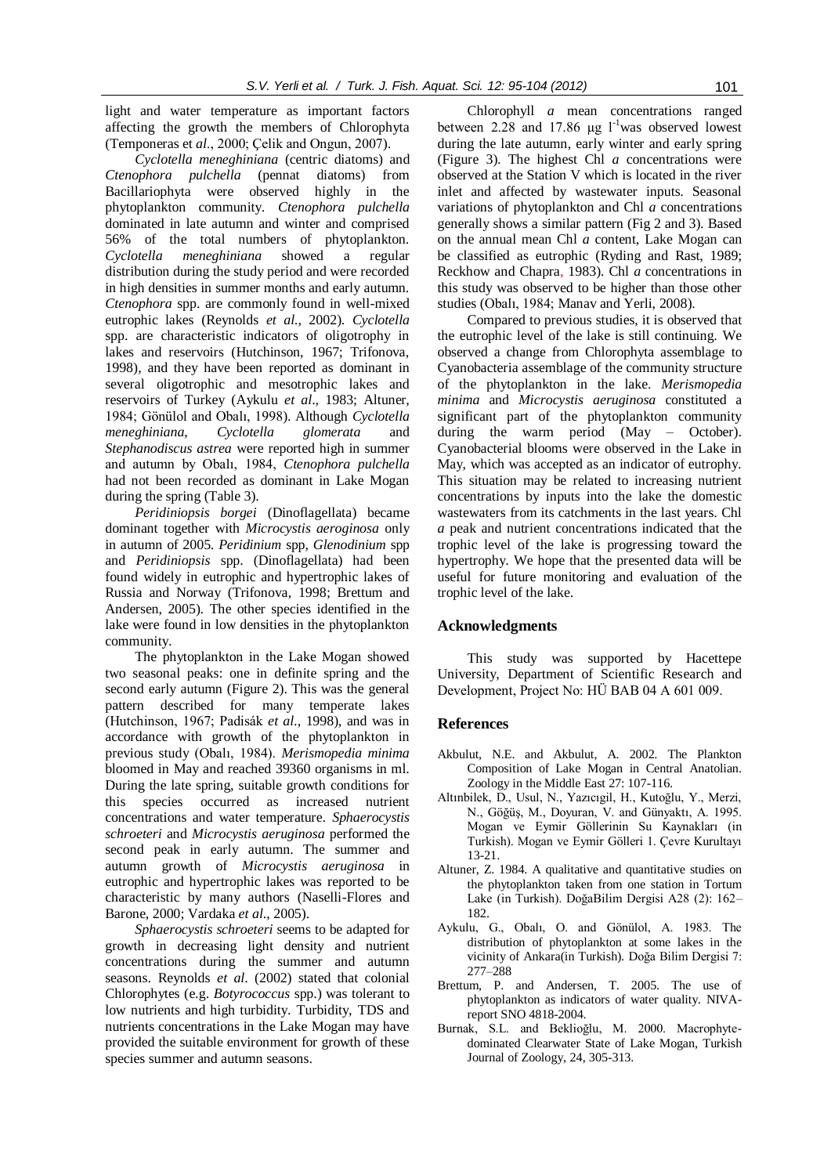light and water temperature as important factors affecting the growth the members of Chlorophyta (Temponeras et *al*., 2000; Çelik and Ongun, 2007).

*Cyclotella meneghiniana* (centric diatoms) and *Ctenophora pulchella* (pennat diatoms) from Bacillariophyta were observed highly in the phytoplankton community. *Ctenophora pulchella*  dominated in late autumn and winter and comprised 56% of the total numbers of phytoplankton. *Cyclotella meneghiniana* showed a regular distribution during the study period and were recorded in high densities in summer months and early autumn. *Ctenophora* spp. are commonly found in well-mixed eutrophic lakes (Reynolds *et al*., 2002). *Cyclotella* spp. are characteristic indicators of oligotrophy in lakes and reservoirs (Hutchinson, 1967; Trifonova, 1998), and they have been reported as dominant in several oligotrophic and mesotrophic lakes and reservoirs of Turkey (Aykulu *et al*., 1983; Altuner, 1984; Gönülol and Obalı, 1998). Although *Cyclotella meneghiniana*, *Cyclotella glomerata* and *Stephanodiscus astrea* were reported high in summer and autumn by Obalı, 1984, *Ctenophora pulchella* had not been recorded as dominant in Lake Mogan during the spring (Table 3).

*Peridiniopsis borgei* (Dinoflagellata) became dominant together with *Microcystis aeroginosa* only in autumn of 2005. *Peridinium* spp, *Glenodinium* spp and *Peridiniopsis* spp. (Dinoflagellata) had been found widely in eutrophic and hypertrophic lakes of Russia and Norway (Trifonova, 1998; Brettum and Andersen, 2005). The other species identified in the lake were found in low densities in the phytoplankton community.

The phytoplankton in the Lake Mogan showed two seasonal peaks: one in definite spring and the second early autumn (Figure 2). This was the general pattern described for many temperate lakes (Hutchinson, 1967; Padisák *et al*., 1998), and was in accordance with growth of the phytoplankton in previous study (Obalı, 1984). *Merismopedia minima*  bloomed in May and reached 39360 organisms in ml. During the late spring, suitable growth conditions for this species occurred as increased nutrient concentrations and water temperature. *Sphaerocystis schroeteri* and *Microcystis aeruginosa* performed the second peak in early autumn. The summer and autumn growth of *Microcystis aeruginosa* in eutrophic and hypertrophic lakes was reported to be characteristic by many authors (Naselli-Flores and Barone, 2000; Vardaka *et al*., 2005).

*Sphaerocystis schroeteri* seems to be adapted for growth in decreasing light density and nutrient concentrations during the summer and autumn seasons. Reynolds *et al*. (2002) stated that colonial Chlorophytes (e.g. *Botyrococcus* spp.) was tolerant to low nutrients and high turbidity. Turbidity, TDS and nutrients concentrations in the Lake Mogan may have provided the suitable environment for growth of these species summer and autumn seasons.

Chlorophyll *a* mean concentrations ranged between 2.28 and 17.86  $\mu$ g l<sup>-1</sup>was observed lowest during the late autumn, early winter and early spring (Figure 3). The highest Chl *a* concentrations were observed at the Station V which is located in the river inlet and affected by wastewater inputs. Seasonal variations of phytoplankton and Chl *a* concentrations generally shows a similar pattern (Fig 2 and 3). Based on the annual mean Chl *a* content, Lake Mogan can be classified as eutrophic (Ryding and Rast, 1989; Reckhow and Chapra, 1983). Chl *a* concentrations in this study was observed to be higher than those other studies (Obalı, 1984; Manav and Yerli, 2008).

Compared to previous studies, it is observed that the eutrophic level of the lake is still continuing. We observed a change from Chlorophyta assemblage to Cyanobacteria assemblage of the community structure of the phytoplankton in the lake. *Merismopedia minima* and *Microcystis aeruginosa* constituted a significant part of the phytoplankton community during the warm period (May – October). Cyanobacterial blooms were observed in the Lake in May, which was accepted as an indicator of eutrophy. This situation may be related to increasing nutrient concentrations by inputs into the lake the domestic wastewaters from its catchments in the last years. Chl *a* peak and nutrient concentrations indicated that the trophic level of the lake is progressing toward the hypertrophy. We hope that the presented data will be useful for future monitoring and evaluation of the trophic level of the lake.

#### **Acknowledgments**

This study was supported by Hacettepe University, Department of Scientific Research and Development, Project No: HÜ BAB 04 A 601 009.

# **References**

- Akbulut, N.E. and Akbulut, A. 2002. The Plankton Composition of Lake Mogan in Central Anatolian. Zoology in the Middle East 27: 107-116.
- Altınbilek, D., Usul, N., Yazıcıgil, H., Kutoğlu, Y., Merzi, N., Göğüş, M., Doyuran, V. and Günyaktı, A. 1995. Mogan ve Eymir Göllerinin Su Kaynakları (in Turkish). Mogan ve Eymir Gölleri 1. Çevre Kurultayı 13-21.
- Altuner, Z. 1984. A qualitative and quantitative studies on the phytoplankton taken from one station in Tortum Lake (in Turkish). DoğaBilim Dergisi A28 (2): 162– 182.
- Aykulu, G., Obalı, O. and Gönülol, A. 1983. The distribution of phytoplankton at some lakes in the vicinity of Ankara(in Turkish). Doğa Bilim Dergisi 7: 277–288
- Brettum, P. and Andersen, T. 2005. The use of phytoplankton as indicators of water quality. NIVAreport SNO 4818-2004.
- Burnak, S.L. and Beklioğlu, M. 2000. Macrophytedominated Clearwater State of Lake Mogan, Turkish Journal of Zoology, 24, 305-313.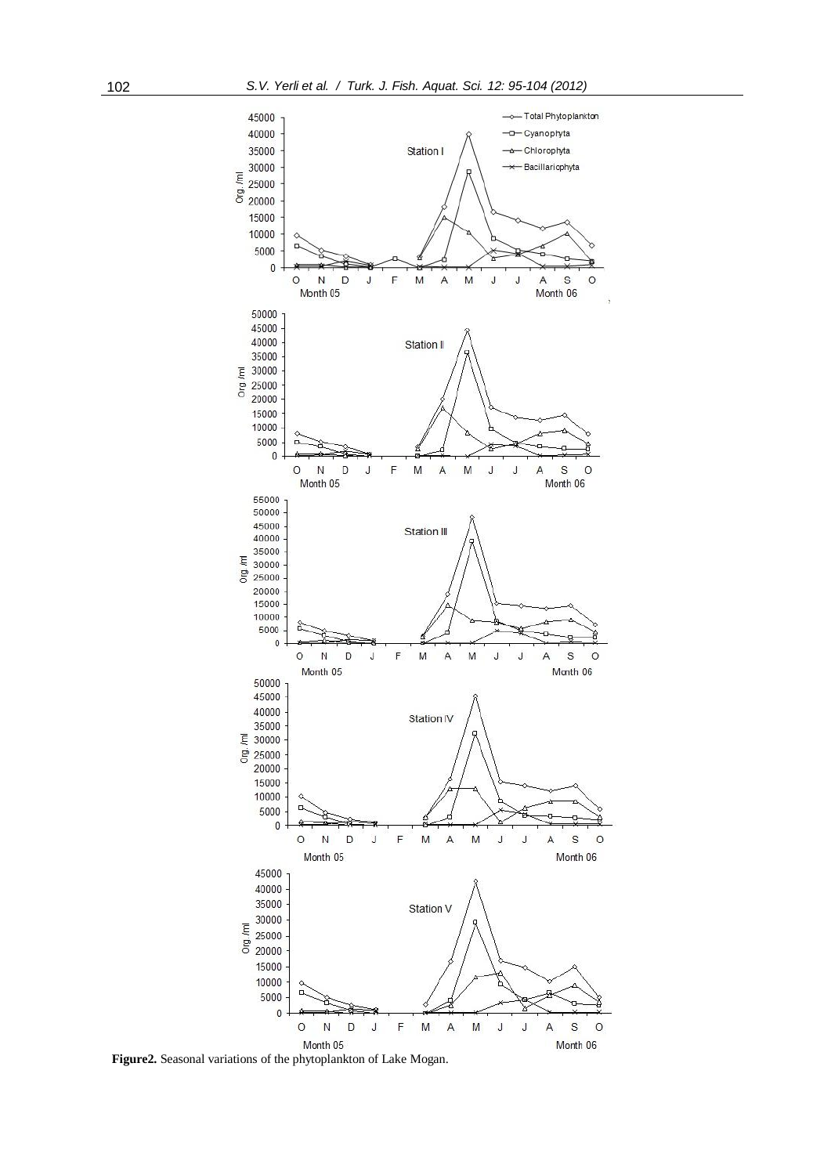

**Figure2.** Seasonal variations of the phytoplankton of Lake Mogan.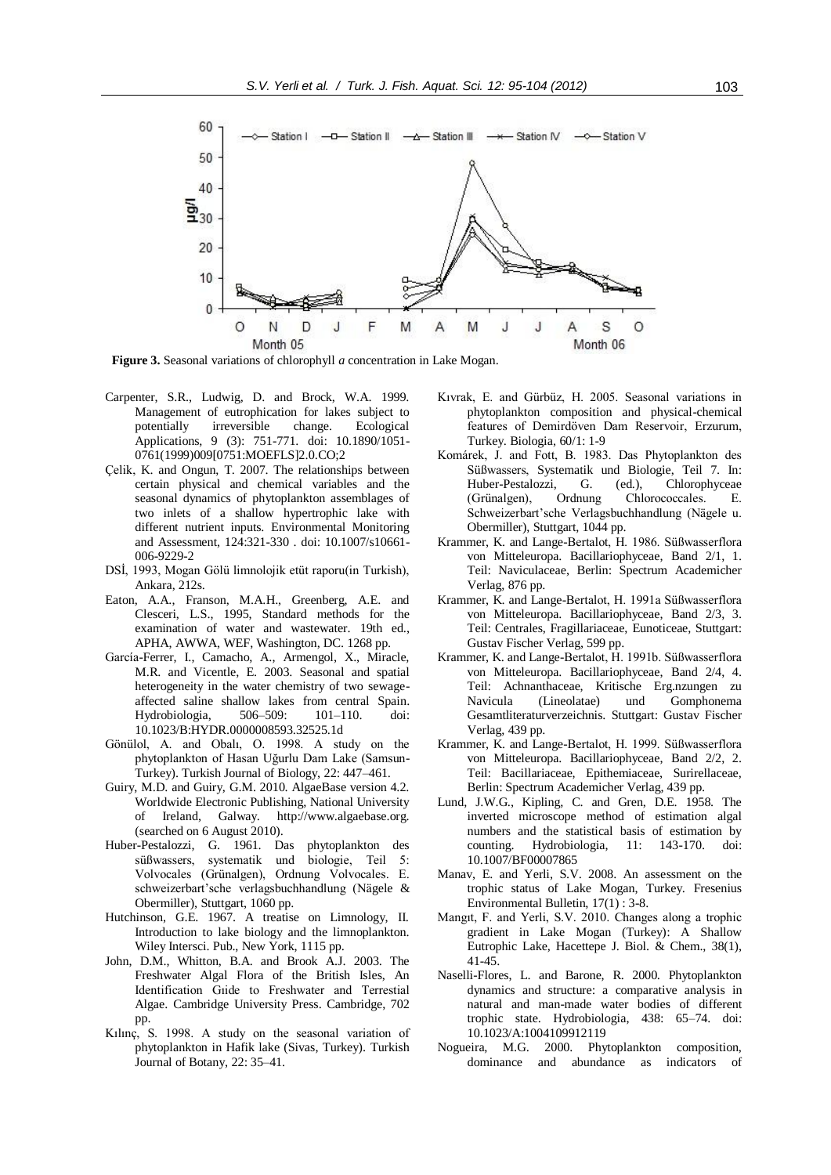

**Figure 3.** Seasonal variations of chlorophyll *a* concentration in Lake Mogan.

- Carpenter, S.R., Ludwig, D. and Brock, W.A. 1999. Management of eutrophication for lakes subject to potentially irreversible change. Ecological potentially irreversible change. Ecological Applications, 9 (3): 751-771. doi: 10.1890/1051- 0761(1999)009[0751:MOEFLS]2.0.CO;2
- Çelik, K. and Ongun, T. 2007. The relationships between certain physical and chemical variables and the seasonal dynamics of phytoplankton assemblages of two inlets of a shallow hypertrophic lake with different nutrient inputs. Environmental Monitoring and Assessment, 124:321-330 . doi: 10.1007/s10661- 006-9229-2
- DSİ, 1993, Mogan Gölü limnolojik etüt raporu(in Turkish), Ankara, 212s.
- Eaton, A.A., Franson, M.A.H., Greenberg, A.E. and Clesceri, L.S., 1995, Standard methods for the examination of water and wastewater. 19th ed., APHA, AWWA, WEF, Washington, DC. 1268 pp.
- García-Ferrer, I., Camacho, A., Armengol, X., Miracle, M.R. and Vicentle, E. 2003. Seasonal and spatial heterogeneity in the water chemistry of two sewageaffected saline shallow lakes from central Spain. Hydrobiologia, 506–509: 101–110. doi: 10.1023/B:HYDR.0000008593.32525.1d
- Gönülol, A. and Obalı, O. 1998. A study on the phytoplankton of Hasan Uğurlu Dam Lake (Samsun-Turkey). Turkish Journal of Biology, 22: 447–461.
- Guiry, M.D. and Guiry, G.M. 2010. AlgaeBase version 4.2. Worldwide Electronic Publishing, National University of Ireland, Galway. http://www.algaebase.org. (searched on 6 August 2010).
- Huber-Pestalozzi, G. 1961. Das phytoplankton des süßwassers, systematik und biologie, Teil 5: Volvocales (Grünalgen), Ordnung Volvocales. E. schweizerbart'sche verlagsbuchhandlung (Nägele & Obermiller), Stuttgart, 1060 pp.
- Hutchinson, G.E. 1967. A treatise on Limnology, II. Introduction to lake biology and the limnoplankton. Wiley Intersci. Pub., New York, 1115 pp.
- John, D.M., Whitton, B.A. and Brook A.J. 2003. The Freshwater Algal Flora of the British Isles, An Identification Gıide to Freshwater and Terrestial Algae. Cambridge University Press. Cambridge, 702 pp.
- Kılınç, S. 1998. A study on the seasonal variation of phytoplankton in Hafik lake (Sivas, Turkey). Turkish Journal of Botany, 22: 35–41.
- Kıvrak, E. and Gürbüz, H. 2005. Seasonal variations in phytoplankton composition and physical-chemical features of Demirdöven Dam Reservoir, Erzurum, Turkey. Biologia, 60/1: 1-9
- Komárek, J. and Fott, B. 1983. Das Phytoplankton des Süßwassers, Systematik und Biologie, Teil 7. In: Huber-Pestalozzi, G. (ed.), Chlorophyceae<br>(Grünalgen), Ordnung Chlorococcales. E. Chlorococcales. E. Schweizerbart'sche Verlagsbuchhandlung (Nägele u. Obermiller), Stuttgart, 1044 pp.
- Krammer, K. and Lange-Bertalot, H. 1986. Süßwasserflora von Mitteleuropa. Bacillariophyceae, Band 2/1, 1. Teil: Naviculaceae, Berlin: Spectrum Academicher Verlag, 876 pp.
- Krammer, K. and Lange-Bertalot, H. 1991a Süßwasserflora von Mitteleuropa. Bacillariophyceae, Band 2/3, 3. Teil: Centrales, Fragillariaceae, Eunoticeae, Stuttgart: Gustav Fischer Verlag, 599 pp.
- Krammer, K. and Lange-Bertalot, H. 1991b. Süßwasserflora von Mitteleuropa. Bacillariophyceae, Band 2/4, 4. Teil: Achnanthaceae, Kritische Erg.nzungen zu Navicula (Lineolatae) und Gomphonema Gesamtliteraturverzeichnis. Stuttgart: Gustav Fischer Verlag, 439 pp.
- Krammer, K. and Lange-Bertalot, H. 1999. Süßwasserflora von Mitteleuropa. Bacillariophyceae, Band 2/2, 2. Teil: Bacillariaceae, Epithemiaceae, Surirellaceae, Berlin: Spectrum Academicher Verlag, 439 pp.
- Lund, J.W.G., Kipling, C. and Gren, D.E. 1958. The inverted microscope method of estimation algal numbers and the statistical basis of estimation by counting. Hydrobiologia, 11: 143-170. doi: 10.1007/BF00007865
- Manav, E. and Yerli, S.V. 2008. An assessment on the trophic status of Lake Mogan, Turkey. Fresenius Environmental Bulletin, 17(1) : 3-8.
- Mangıt, F. and Yerli, S.V. 2010. Changes along a trophic gradient in Lake Mogan (Turkey): A Shallow Eutrophic Lake, Hacettepe J. Biol. & Chem., 38(1), 41-45.
- Naselli-Flores, L. and Barone, R. 2000. Phytoplankton dynamics and structure: a comparative analysis in natural and man-made water bodies of different trophic state. Hydrobiologia, 438: 65–74. doi: 10.1023/A:1004109912119
- Nogueira, M.G. 2000. Phytoplankton composition, dominance and abundance as indicators of